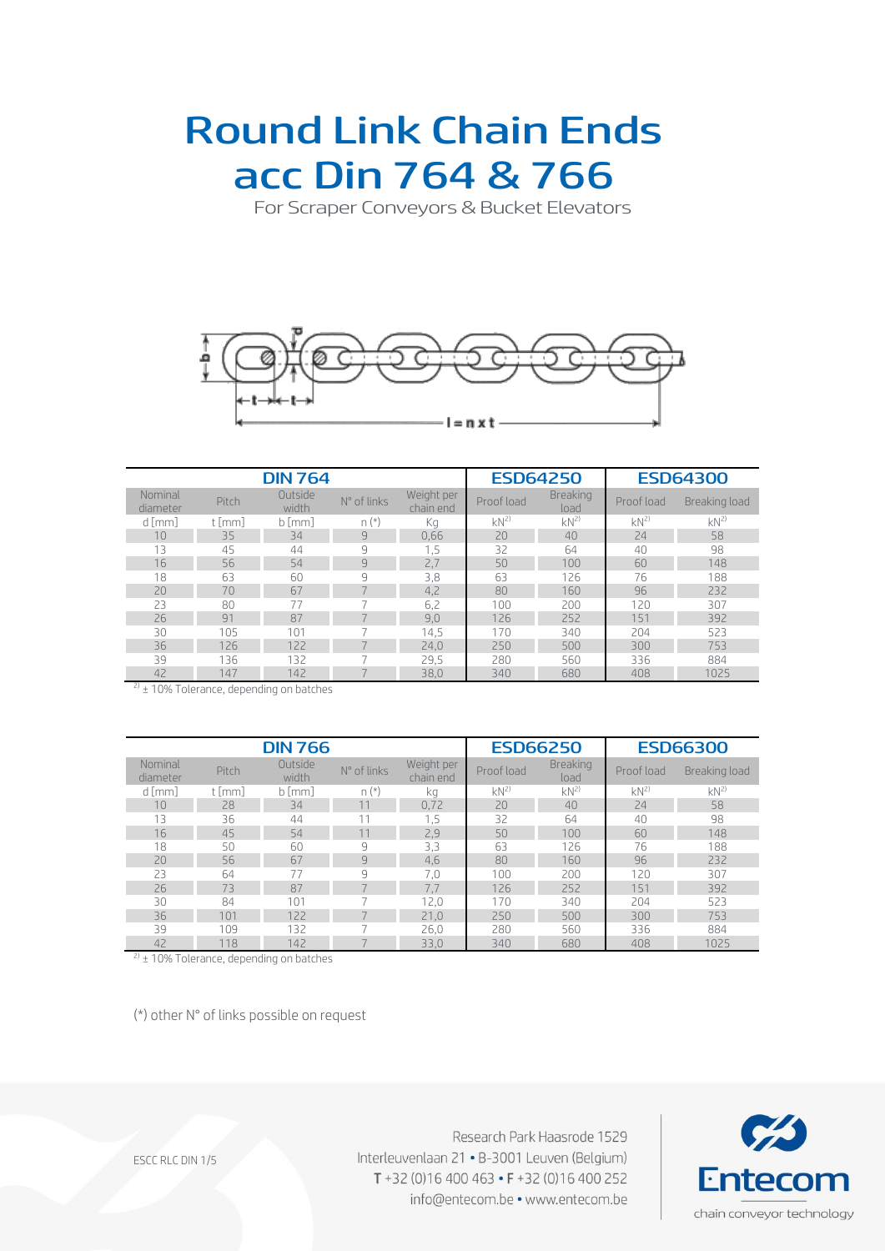### Round Link Chain Ends acc Din 764& 766

For Scraper Conveyors & Bucket Elevators



|                     |          | <b>DIN 764</b>   |             | <b>ESD64250</b><br><b>ESD64300</b> |            |                         |            |               |
|---------------------|----------|------------------|-------------|------------------------------------|------------|-------------------------|------------|---------------|
| Nominal<br>diameter | Pitch    | Outside<br>width | N° of links | Weight per<br>chain end            | Proof load | <b>Breaking</b><br>load | Proof load | Breaking load |
| d [mm]              | $t$ [mm] | $b$ [mm]         | $n(*)$      | Кg                                 | $kN^{2}$   | $kN^{2}$                | $kN^{2}$   | $kN^{2}$      |
| 10                  | 35       | 34               | 9           | 0,66                               | 20         | 40                      | 24         | 58            |
| 13                  | 45       | 44               | 9           | 1,5                                | 32         | 64                      | 40         | 98            |
| 16                  | 56       | 54               | 9           | 2,7                                | 50         | 100                     | 60         | 148           |
| 18                  | 63       | 60               | 9           | 3,8                                | 63         | 126                     | 76         | 188           |
| 20                  | 70       | 67               |             | 4,2                                | 80         | 160                     | 96         | 232           |
| 23                  | 80       | 77               |             | 6,2                                | 100        | 200                     | 120        | 307           |
| 26                  | 91       | 87               |             | 9,0                                | 126        | 252                     | 151        | 392           |
| 30                  | 105      | 101              |             | 14.5                               | 170        | 340                     | 204        | 523           |
| 36                  | 126      | 122              |             | 24,0                               | 250        | 500                     | 300        | 753           |
| 39                  | 136      | 132              |             | 29.5                               | 280        | 560                     | 336        | 884           |
| 42                  | 147      | 142              |             | 38,0                               | 340        | 680                     | 408        | 1025          |

 $^{2)}$  ± 10% Tolerance, depending on batches

|                     |          | <b>DIN 766</b>   |                          | <b>ESD66300</b><br><b>ESD66250</b> |            |                         |            |               |
|---------------------|----------|------------------|--------------------------|------------------------------------|------------|-------------------------|------------|---------------|
| Nominal<br>diameter | Pitch    | Outside<br>width | N° of links              | Weight per<br>chain end            | Proof load | <b>Breaking</b><br>load | Proof load | Breaking load |
| $d$ [mm]            | $t$ [mm] | $b$ [mm]         | $n(*)$                   | kg                                 | $kN^{2}$   | $kN^{2}$                | $kN^{2}$   | $kN^{2}$      |
| 10                  | 28       | 34               | 11                       | 0,72                               | 20         | 40                      | 24         | 58            |
| 13                  | 36       | 44               |                          | 1,5                                | 32         | 64                      | 40         | 98            |
| 16                  | 45       | 54               | 11                       | 2,9                                | 50         | 100                     | 60         | 148           |
| 18                  | 50       | 60               | 9                        | 3,3                                | 63         | 126                     | 76         | 188           |
| 20                  | 56       | 67               | 9                        | 4,6                                | 80         | 160                     | 96         | 232           |
| 23                  | 64       | 77               | 9                        | 7,0                                | 100        | 200                     | 120        | 307           |
| 26                  | 73       | 87               | $\overline{\phantom{0}}$ | 7,7                                | 126        | 252                     | 151        | 392           |
| 30                  | 84       | 101              |                          | 12.0                               | 170        | 340                     | 204        | 523           |
| 36                  | 101      | 122              | $\rightarrow$            | 21,0                               | 250        | 500                     | 300        | 753           |
| 39                  | 109      | 132              |                          | 26.0                               | 280        | 560                     | 336        | 884           |
| 42                  | 118      | 142              | $\rightarrow$            | 33,0                               | 340        | 680                     | 408        | 1025          |

 $^{2)}$  ± 10% Tolerance, depending on batches

(\*) other N° of links possible on request

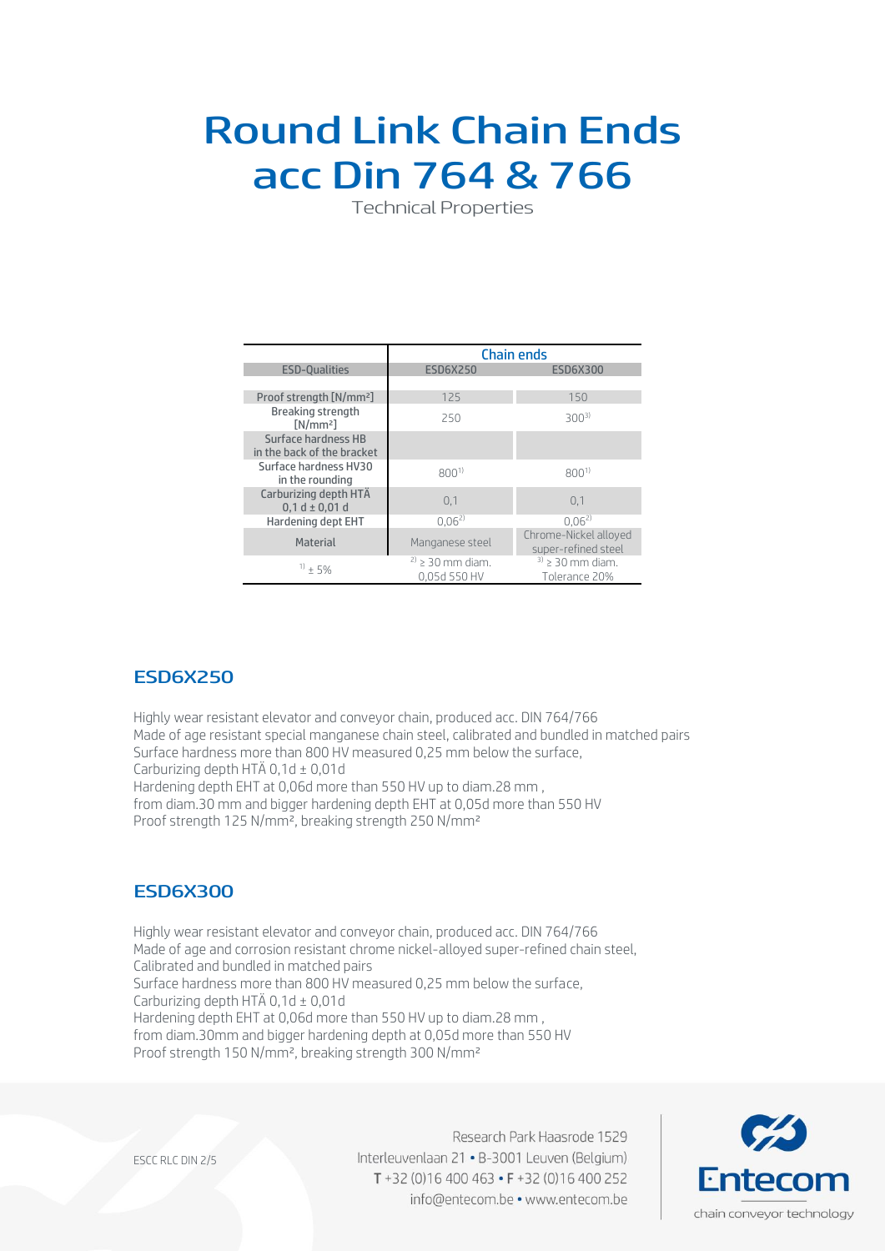# Round Link Chain Ends acc Din 764& 766

Technical Properties

|                                                   | <b>Chain ends</b>                    |                                              |  |  |  |  |
|---------------------------------------------------|--------------------------------------|----------------------------------------------|--|--|--|--|
| <b>ESD-Qualities</b>                              | <b>ESD6X250</b>                      | <b>ESD6X300</b>                              |  |  |  |  |
|                                                   |                                      |                                              |  |  |  |  |
| Proof strength [N/mm <sup>2</sup> ]               | 125                                  | 150                                          |  |  |  |  |
| Breaking strength<br>[N/mm <sup>2</sup> ]         | 250                                  | $300^{3}$                                    |  |  |  |  |
| Surface hardness HB<br>in the back of the bracket |                                      |                                              |  |  |  |  |
| Surface hardness HV30<br>in the rounding          | $800^{1}$                            | $800^{1}$                                    |  |  |  |  |
| Carburizing depth HTÄ<br>$0,1 d \pm 0,01 d$       | 0,1                                  | 0.1                                          |  |  |  |  |
| Hardening dept EHT                                | $0.06^{2}$                           | $0.06^{2}$                                   |  |  |  |  |
| Material                                          | Manganese steel                      | Chrome-Nickel alloyed<br>super-refined steel |  |  |  |  |
| $11 + 5%$                                         | $2) \ge 30$ mm diam.<br>0,05d 550 HV | $3$ ) > 30 mm diam.<br>Tolerance 20%         |  |  |  |  |

### ESD6X250

Highly wear resistant elevator and conveyor chain, produced acc. DIN 764/766 Made of age resistant special manganese chain steel, calibrated and bundled in matched pairs Surface hardness more than 800 HV measured 0,25 mm below the surface, Carburizing depth HTÄ 0,1d ± 0,01d Hardening depth EHT at 0,06d more than 550 HV up to diam.28 mm ,

from diam.30 mm and bigger hardening depth EHT at 0,05d more than 550 HV Proof strength 125 N/mm², breaking strength 250 N/mm²

### ESD6X300

Highly wear resistant elevator and conveyor chain, produced acc. DIN 764/766 Made of age and corrosion resistant chrome nickel-alloyed super-refined chain steel, Calibrated and bundled in matched pairs Surface hardness more than 800 HV measured 0,25 mm below the surface, Carburizing depth HTÄ 0,1d ± 0,01d Hardening depth EHT at 0,06d more than 550 HV up to diam.28 mm , from diam.30mm and bigger hardening depth at 0,05d more than 550 HV Proof strength 150 N/mm², breaking strength 300 N/mm²

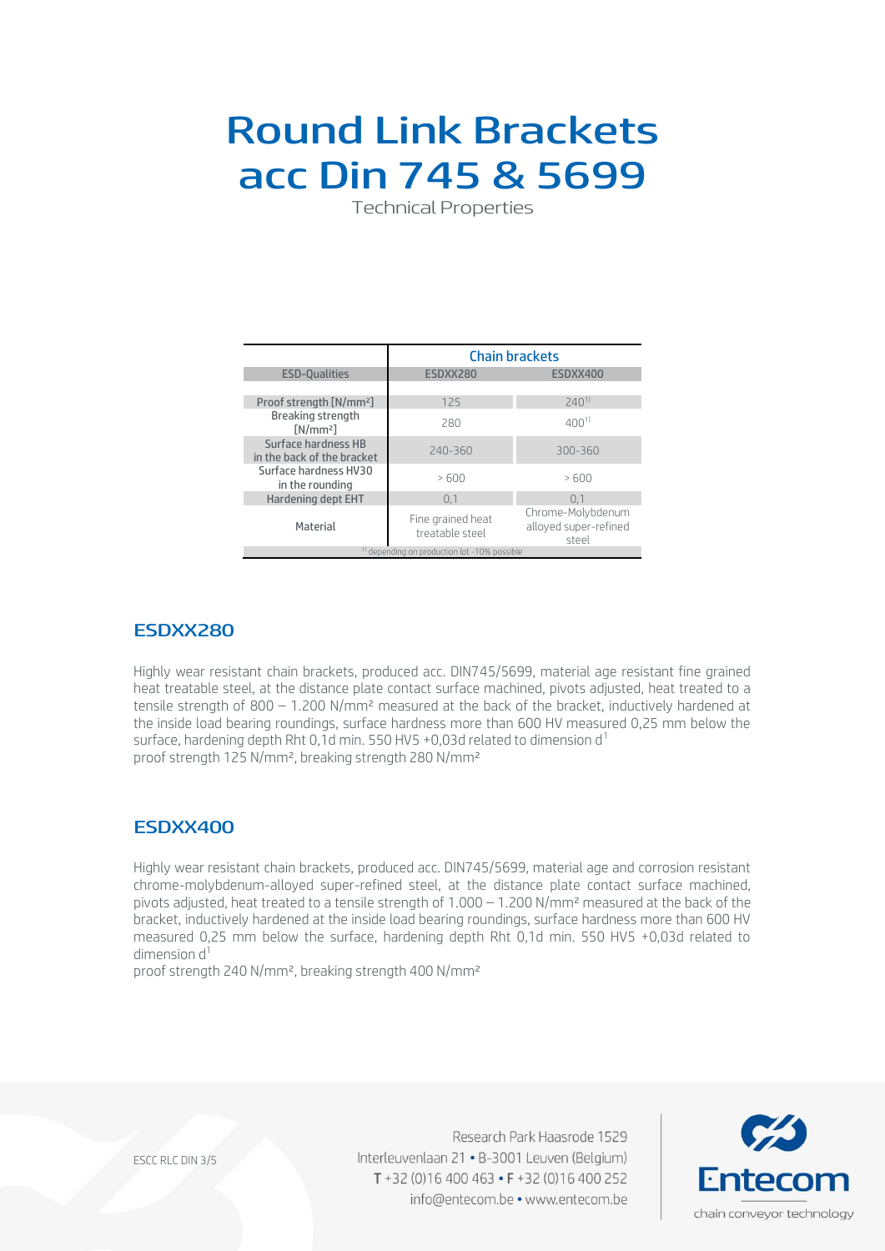# Round Link Brackets acc Din 745& 5699

Technical Properties

|                                                   | <b>Chain brackets</b>                                   |                                                     |  |  |  |  |
|---------------------------------------------------|---------------------------------------------------------|-----------------------------------------------------|--|--|--|--|
| <b>ESD-Oualities</b>                              | ESDXX280                                                | ESDXX400                                            |  |  |  |  |
|                                                   |                                                         |                                                     |  |  |  |  |
| Proof strength [N/mm <sup>2</sup> ]               | 125                                                     | $740^{11}$                                          |  |  |  |  |
| Breaking strength<br>[N/mm <sup>2</sup> ]         | 280                                                     | $400^{11}$                                          |  |  |  |  |
| Surface hardness HB<br>in the back of the bracket | 240-360                                                 | 300-360                                             |  |  |  |  |
| Surface hardness HV30<br>in the rounding          | >600                                                    | >600                                                |  |  |  |  |
| <b>Hardening dept EHT</b>                         | 0,1                                                     | 0.1                                                 |  |  |  |  |
| Material                                          | Fine grained heat<br>treatable steel                    | Chrome-Molybdenum<br>alloyed super-refined<br>steel |  |  |  |  |
|                                                   | <sup>1)</sup> depending on production lot -10% possible |                                                     |  |  |  |  |

### ESDXX280

Highly wear resistant chain brackets, produced acc. DIN745/5699, material age resistant fine grained heat treatable steel, at the distance plate contact surface machined, pivots adjusted, heat treated to a tensile strength of 800 - 1.200 N/mm<sup>2</sup> measured at the back of the bracket, inductively hardened at the inside load bearing roundings, surface hardness more than 600 HV measured 0,25 mm below the surface, hardening depth Rht 0,1d min. 550 HV5 +0,03d related to dimension d<sup>1</sup> proof strength 125 N/mm², breaking strength 280 N/mm²

### ESDXX400

Highly wear resistant chain brackets, produced acc. DIN745/5699, material age and corrosion resistant chrome-molybdenum-alloyed super-refined steel, at the distance plate contact surface machined, pivots adjusted, heat treated to a tensile strength of 1.000 – 1.200 N/mm² measured at the back of the bracket, inductively hardened at the inside load bearing roundings, surface hardness more than 600 HV measured 0,25 mm below the surface, hardening depth Rht 0,1d min. 550 HV5 +0,03d related to dimension  $d<sup>1</sup>$ 

proof strength 240 N/mm², breaking strength 400 N/mm²



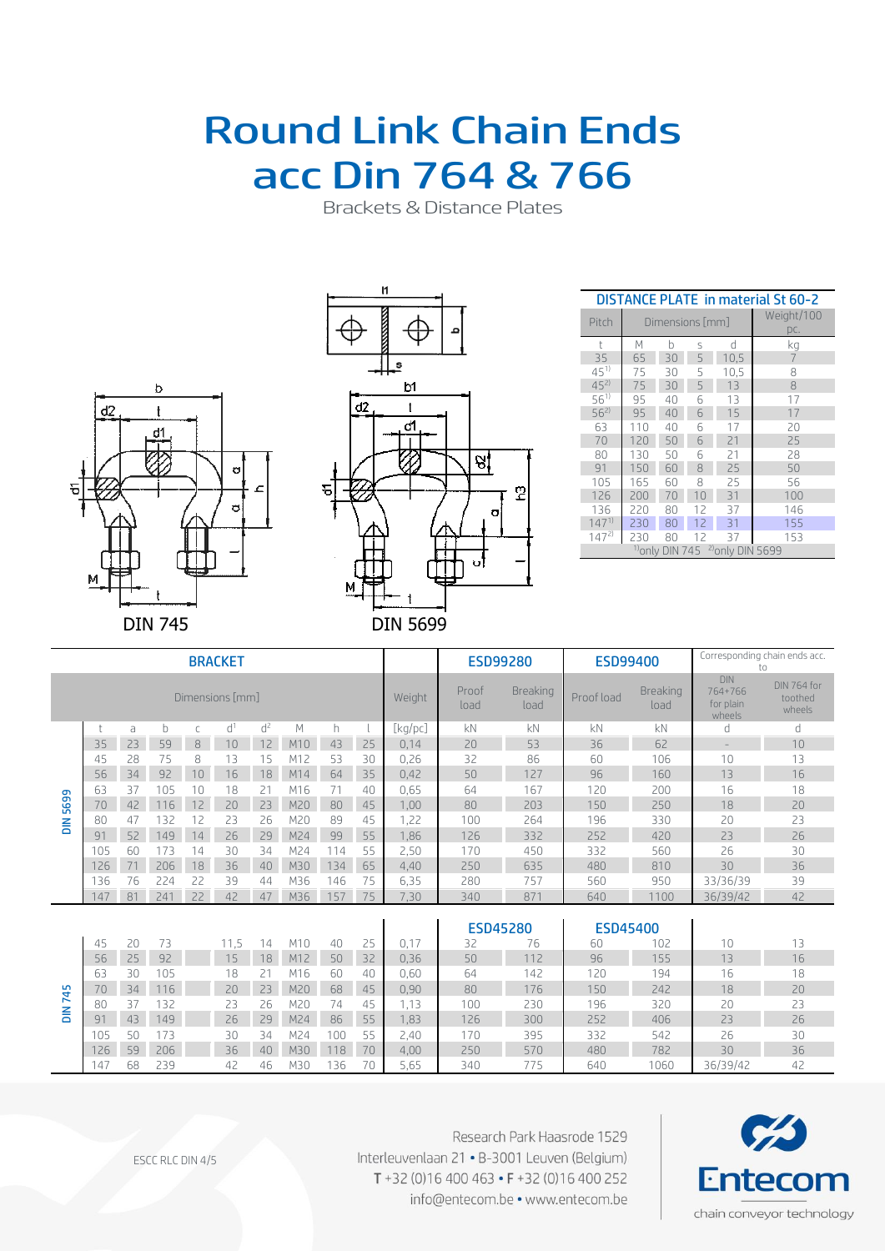### Round Link Chain Ends acc Din 764& 766

Brackets & Distance Plates





| <b>DISTANCE PLATE in material St 60-2</b> |     |                            |                   |                             |     |  |  |  |  |  |
|-------------------------------------------|-----|----------------------------|-------------------|-----------------------------|-----|--|--|--|--|--|
| Pitch                                     |     | Dimensions [mm]            | Weight/100<br>DC. |                             |     |  |  |  |  |  |
| $^{\dagger}$                              | M   | h                          | S                 | d                           | kg  |  |  |  |  |  |
| 35                                        | 65  | 30                         | 5                 | 10,5                        | 7   |  |  |  |  |  |
| $45^{1}$                                  | 75  | 30                         | 5                 | 10,5                        | 8   |  |  |  |  |  |
| $45^{21}$                                 | 75  | 30                         | 5                 | 13                          | 8   |  |  |  |  |  |
| $56^{1}$                                  | 95  | 40                         | 6                 | 13                          | 17  |  |  |  |  |  |
| $56^{2}$                                  | 95  | 40                         | 6                 | 15                          | 17  |  |  |  |  |  |
| 63                                        | 110 | 40                         | 6                 | 17                          | 20  |  |  |  |  |  |
| 70                                        | 120 | 50                         | 6                 | 21                          | 25  |  |  |  |  |  |
| 80                                        | 130 | 50                         | 6                 | 21                          | 28  |  |  |  |  |  |
| 91                                        | 150 | 60                         | 8                 | 25                          | 50  |  |  |  |  |  |
| 105                                       | 165 | 60                         | 8                 | 25                          | 56  |  |  |  |  |  |
| 126                                       | 200 | 70                         | 10                | 31                          | 100 |  |  |  |  |  |
| 136                                       | 220 | 80                         | 12                | 37                          | 146 |  |  |  |  |  |
| $147^{1}$                                 | 230 | 80                         | 12                | 31                          | 155 |  |  |  |  |  |
| $147^{2}$                                 | 230 | 80                         | 12                | 37                          | 153 |  |  |  |  |  |
|                                           |     | <sup>1)</sup> only DIN 745 |                   | <sup>2)</sup> only DIN 5699 |     |  |  |  |  |  |

| <b>BRACKET</b>  |     |    |     |    |                | <b>ESD99280</b> |                 | <b>ESD99400</b>         |            | Corresponding chain ends acc.<br>to |                                              |                                  |                 |      |          |    |
|-----------------|-----|----|-----|----|----------------|-----------------|-----------------|-------------------------|------------|-------------------------------------|----------------------------------------------|----------------------------------|-----------------|------|----------|----|
| Dimensions [mm] |     |    |     |    |                | Weight          | Proof<br>load   | <b>Breaking</b><br>load | Proof load | <b>Breaking</b><br>load             | <b>DIN</b><br>764+766<br>for plain<br>wheels | DIN 764 for<br>toothed<br>wheels |                 |      |          |    |
|                 |     | a  | b   | C  | d <sup>1</sup> | $d^2$           | M               | h                       |            | [kg/pc]                             | kN                                           | kN                               | kN              | kN   | d        | d  |
|                 | 35  | 23 | 59  | 8  | 10             | 12              | M <sub>10</sub> | 43                      | 25         | 0,14                                | 20                                           | 53                               | 36              | 62   |          | 10 |
|                 | 45  | 28 | 75  | 8  | 13             | 15              | M12             | 53                      | 30         | 0,26                                | 32                                           | 86                               | 60              | 106  | 10       | 13 |
|                 | 56  | 34 | 92  | 10 | 16             | 18              | M14             | 64                      | 35         | 0,42                                | 50                                           | 127                              | 96              | 160  | 13       | 16 |
|                 | 63  | 37 | 105 | 10 | 18             | 21              | M16             | 71                      | 40         | 0,65                                | 64                                           | 167                              | 120             | 200  | 16       | 18 |
| 5699            | 70  | 42 | 116 | 12 | 20             | 23              | M20             | 80                      | 45         | 1,00                                | 80                                           | 203                              | 150             | 250  | 18       | 20 |
| $\frac{2}{5}$   | 80  | 47 | 132 | 12 | 23             | 26              | M20             | 89                      | 45         | 1,22                                | 100                                          | 264                              | 196             | 330  | 20       | 23 |
|                 | 91  | 52 | 149 | 14 | 26             | 29              | M24             | 99                      | 55         | 1,86                                | 126                                          | 332                              | 252             | 420  | 23       | 26 |
|                 | 105 | 60 | 173 | 14 | 30             | 34              | M24             | 114                     | 55         | 2,50                                | 170                                          | 450                              | 332             | 560  | 26       | 30 |
|                 | 126 | 71 | 206 | 18 | 36             | 40              | M30             | 134                     | 65         | 4,40                                | 250                                          | 635                              | 480             | 810  | 30       | 36 |
|                 | 136 | 76 | 224 | 22 | 39             | 44              | M36             | 146                     | 75         | 6,35                                | 280                                          | 757                              | 560             | 950  | 33/36/39 | 39 |
|                 | 147 | 81 | 241 | 22 | 42             | 47              | M36             | 157                     | 75         | 7,30                                | 340                                          | 871                              | 640             | 1100 | 36/39/42 | 42 |
|                 |     |    |     |    |                |                 |                 |                         |            |                                     |                                              |                                  |                 |      |          |    |
|                 |     |    |     |    |                |                 |                 |                         |            |                                     |                                              | <b>ESD45280</b>                  | <b>ESD45400</b> |      |          |    |
|                 | 45  | 20 | 73  |    | 11.5           | 14              | M10             | 40                      | 25         | 0,17                                | 32                                           | 76                               | 60              | 102  | 10       | 13 |
|                 | 56  | 25 | 92  |    | 15             | 18              | M12             | 50                      | 32         | 0,36                                | 50                                           | 112                              | 96              | 155  | 13       | 16 |
|                 | 63  | 30 | 105 |    | 18             | 21              | M16             | 60                      | 40         | 0,60                                | 64                                           | 142                              | 120             | 194  | 16       | 18 |
| <b>DIN 745</b>  | 70  | 34 | 116 |    | 20             | 23              | M20             | 68                      | 45         | 0,90                                | 80                                           | 176                              | 150             | 242  | 18       | 20 |
|                 | 80  | 37 | 132 |    | 23             | 26              | M20             | 74                      | 45         | 1,13                                | 100                                          | 230                              | 196             | 320  | 20       | 23 |
|                 | 91  | 43 | 149 |    | 26             | 29              | M24             | 86                      | 55         | 1,83                                | 126                                          | 300                              | 252             | 406  | 23       | 26 |
|                 | 105 | 50 | 173 |    | 30             | 34              | M24             | 100                     | 55         | 2,40                                | 170                                          | 395                              | 332             | 542  | 26       | 30 |
|                 | 126 | 59 | 206 |    | 36             | 40              | M30             | 118                     | 70         | 4,00                                | 250                                          | 570                              | 480             | 782  | 30       | 36 |
|                 | 147 | 68 | 239 |    | 42             | 46              | M30             | 136                     | 70         | 5.65                                | 340                                          | 775                              | 640             | 1060 | 36/39/42 | 42 |

147 68 239 42 46 M30 136 70 5,65 340 775 640 1060 36/39/42 42



Research Park Haasrode 1529 Interleuvenlaan 21 · B-3001 Leuven (Belgium) T+32 (0)16 400 463 • F+32 (0)16 400 252 info@entecom.be • www.entecom.be

ESCC RLC DIN 4/5